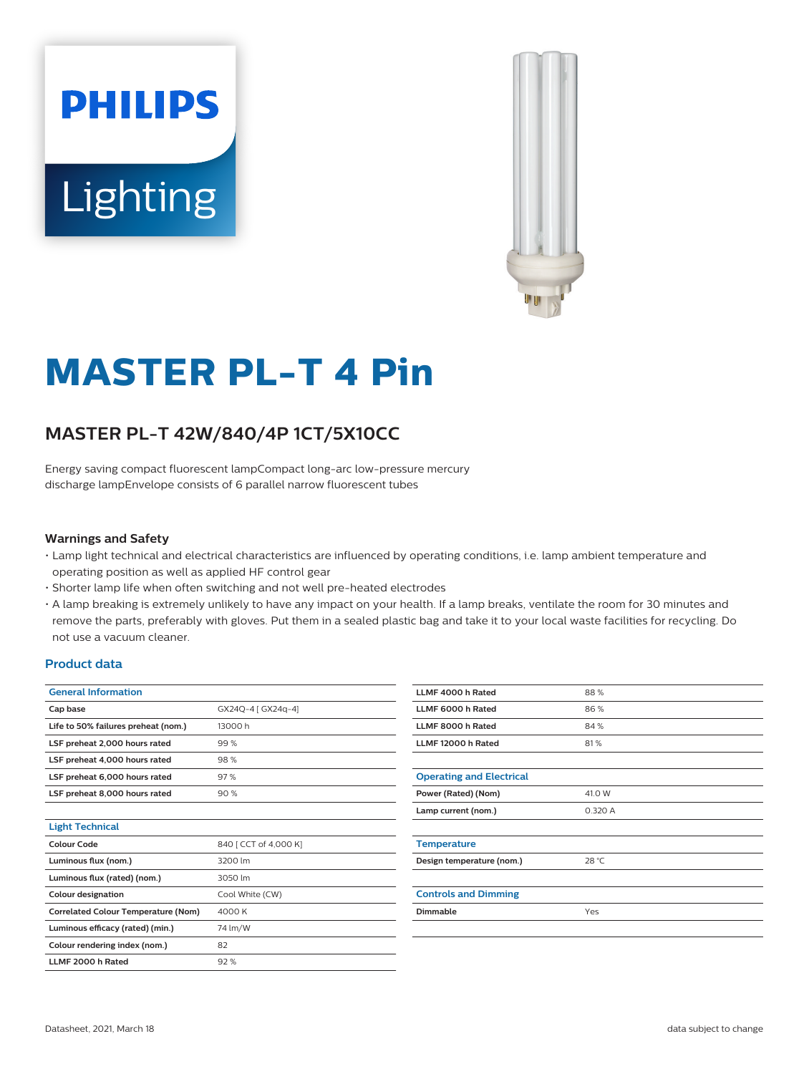



# **MASTER PL-T 4 Pin**

## **MASTER PL-T 42W/840/4P 1CT/5X10CC**

Energy saving compact fluorescent lampCompact long-arc low-pressure mercury discharge lampEnvelope consists of 6 parallel narrow fluorescent tubes

### **Warnings and Safety**

- Lamp light technical and electrical characteristics are influenced by operating conditions, i.e. lamp ambient temperature and operating position as well as applied HF control gear
- Shorter lamp life when often switching and not well pre-heated electrodes
- A lamp breaking is extremely unlikely to have any impact on your health. If a lamp breaks, ventilate the room for 30 minutes and remove the parts, preferably with gloves. Put them in a sealed plastic bag and take it to your local waste facilities for recycling. Do not use a vacuum cleaner.

## **Product data**

| <b>General Information</b>                 |                       |
|--------------------------------------------|-----------------------|
| Cap base                                   | GX24Q-4 [ GX24q-4]    |
| Life to 50% failures preheat (nom.)        | 13000h                |
| LSF preheat 2,000 hours rated              | 99%                   |
| LSF preheat 4,000 hours rated              | 98%                   |
| LSF preheat 6,000 hours rated              | 97%                   |
| LSF preheat 8,000 hours rated              | 90%                   |
|                                            |                       |
| <b>Light Technical</b>                     |                       |
| Colour Code                                | 840 [ CCT of 4,000 K] |
| Luminous flux (nom.)                       | 3200 lm               |
| Luminous flux (rated) (nom.)               | 3050 lm               |
| <b>Colour designation</b>                  | Cool White (CW)       |
| <b>Correlated Colour Temperature (Nom)</b> | 4000 K                |
| Luminous efficacy (rated) (min.)           | 74 lm/W               |
| Colour rendering index (nom.)              | 82                    |
| LLME 2000 h Rated                          | 92%                   |

| LLMF 4000 h Rated               | 88%     |
|---------------------------------|---------|
| LLMF 6000 h Rated               | 86%     |
| LLMF 8000 h Rated               | 84%     |
| LLMF 12000 h Rated              | 81%     |
|                                 |         |
| <b>Operating and Electrical</b> |         |
| Power (Rated) (Nom)             | 41.0 W  |
| Lamp current (nom.)             | 0.320 A |
|                                 |         |
| <b>Temperature</b>              |         |
| Design temperature (nom.)       | 28 °C   |
|                                 |         |
| <b>Controls and Dimming</b>     |         |
| <b>Dimmable</b>                 | Yes     |
|                                 |         |
|                                 |         |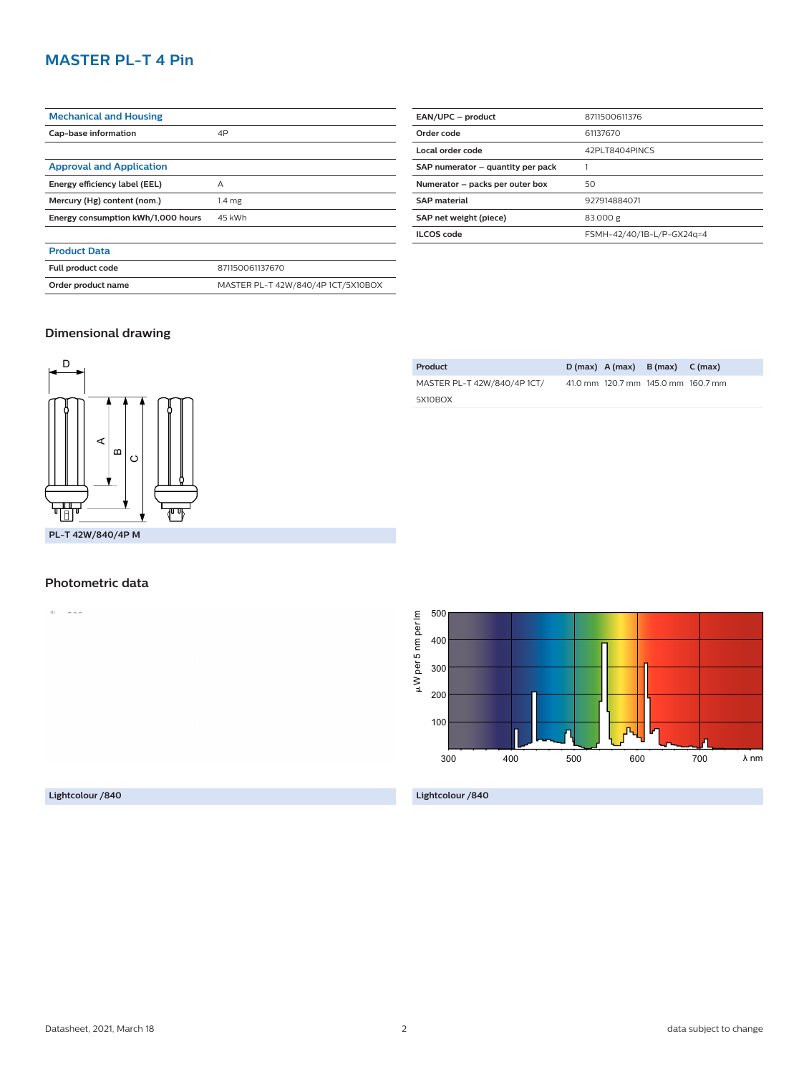## **MASTER PL-T 4 Pin**

| <b>Mechanical and Housing</b>      |                                    |
|------------------------------------|------------------------------------|
| Cap-base information               | 4P                                 |
|                                    |                                    |
| <b>Approval and Application</b>    |                                    |
| Energy efficiency label (EEL)      | А                                  |
| Mercury (Hg) content (nom.)        | 1.4 <sub>mg</sub>                  |
| Energy consumption kWh/1,000 hours | 45 kWh                             |
|                                    |                                    |
| <b>Product Data</b>                |                                    |
| Full product code                  | 871150061137670                    |
| Order product name                 | MASTER PL-T 42W/840/4P 1CT/5X10BOX |

| EAN/UPC - product<br>8711500611376<br>Order code<br>61137670<br>Local order code<br>42PLT8404PINCS<br>SAP numerator - quantity per pack<br>Numerator - packs per outer box<br>50<br><b>SAP material</b><br>927914884071<br>SAP net weight (piece)<br>83.000 g<br>II COS code<br>FSMH-42/40/1B-L/P-GX24q=4 |  |
|-----------------------------------------------------------------------------------------------------------------------------------------------------------------------------------------------------------------------------------------------------------------------------------------------------------|--|
|                                                                                                                                                                                                                                                                                                           |  |
|                                                                                                                                                                                                                                                                                                           |  |
|                                                                                                                                                                                                                                                                                                           |  |
|                                                                                                                                                                                                                                                                                                           |  |
|                                                                                                                                                                                                                                                                                                           |  |
|                                                                                                                                                                                                                                                                                                           |  |
|                                                                                                                                                                                                                                                                                                           |  |
|                                                                                                                                                                                                                                                                                                           |  |

**Product D (max) A (max) B (max) C (max)**

41.0 mm 120.7 mm 145.0 mm 160.7 mm

MASTER PL-T 42W/840/4P 1CT/

5X10BOX

## **Dimensional drawing**



#### **Photometric data**

 $\overleftrightarrow{a}$  =  $\overleftrightarrow{a}$  =  $\overleftrightarrow{a}$ 



**Lightcolour /840**

**Lightcolour /840**